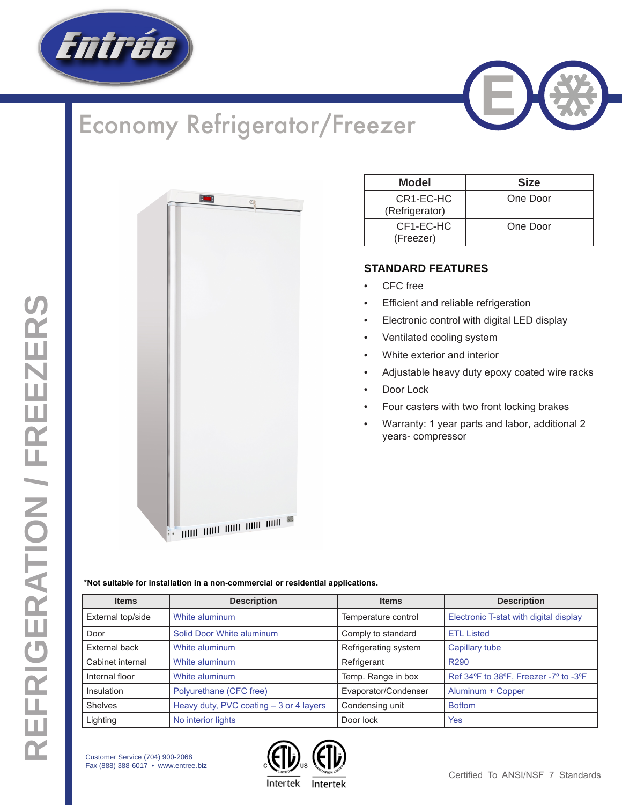

## Economy Refrigerator/Freezer





| Model                       | <b>Size</b> |
|-----------------------------|-------------|
| CR1-EC-HC<br>(Refrigerator) | One Door    |
| CF1-EC-HC<br>(Freezer)      | One Door    |

## **STANDARD FEATURES**

- CFC free
- **Efficient and reliable refrigeration**
- Electronic control with digital LED display
- Ventilated cooling system
- White exterior and interior
- Adjustable heavy duty epoxy coated wire racks
- Door Lock
- Four casters with two front locking brakes
- Warranty: 1 year parts and labor, additional 2 years- compressor

**\*Not suitable for installation in a non-commercial or residential applications.**

| <b>Items</b>         | <b>Description</b>                       | <b>Items</b>         | <b>Description</b>                     |  |  |
|----------------------|------------------------------------------|----------------------|----------------------------------------|--|--|
| External top/side    | White aluminum                           | Temperature control  | Electronic T-stat with digital display |  |  |
| Door                 | Solid Door White aluminum                | Comply to standard   | <b>ETL Listed</b>                      |  |  |
| <b>External back</b> | White aluminum                           | Refrigerating system | Capillary tube                         |  |  |
| Cabinet internal     | White aluminum                           | Refrigerant          | R <sub>290</sub>                       |  |  |
| Internal floor       | White aluminum                           | Temp. Range in box   | Ref 34°F to 38°F, Freezer -7° to -3°F  |  |  |
| Insulation           | Polyurethane (CFC free)                  | Evaporator/Condenser | Aluminum + Copper                      |  |  |
| <b>Shelves</b>       | Heavy duty, PVC coating $-3$ or 4 layers | Condensing unit      | <b>Bottom</b>                          |  |  |
| Lighting             | No interior lights                       | Door lock            | Yes                                    |  |  |

Customer Service (704) 900-2068 Fax (888) 388-6017 • www.entree.biz